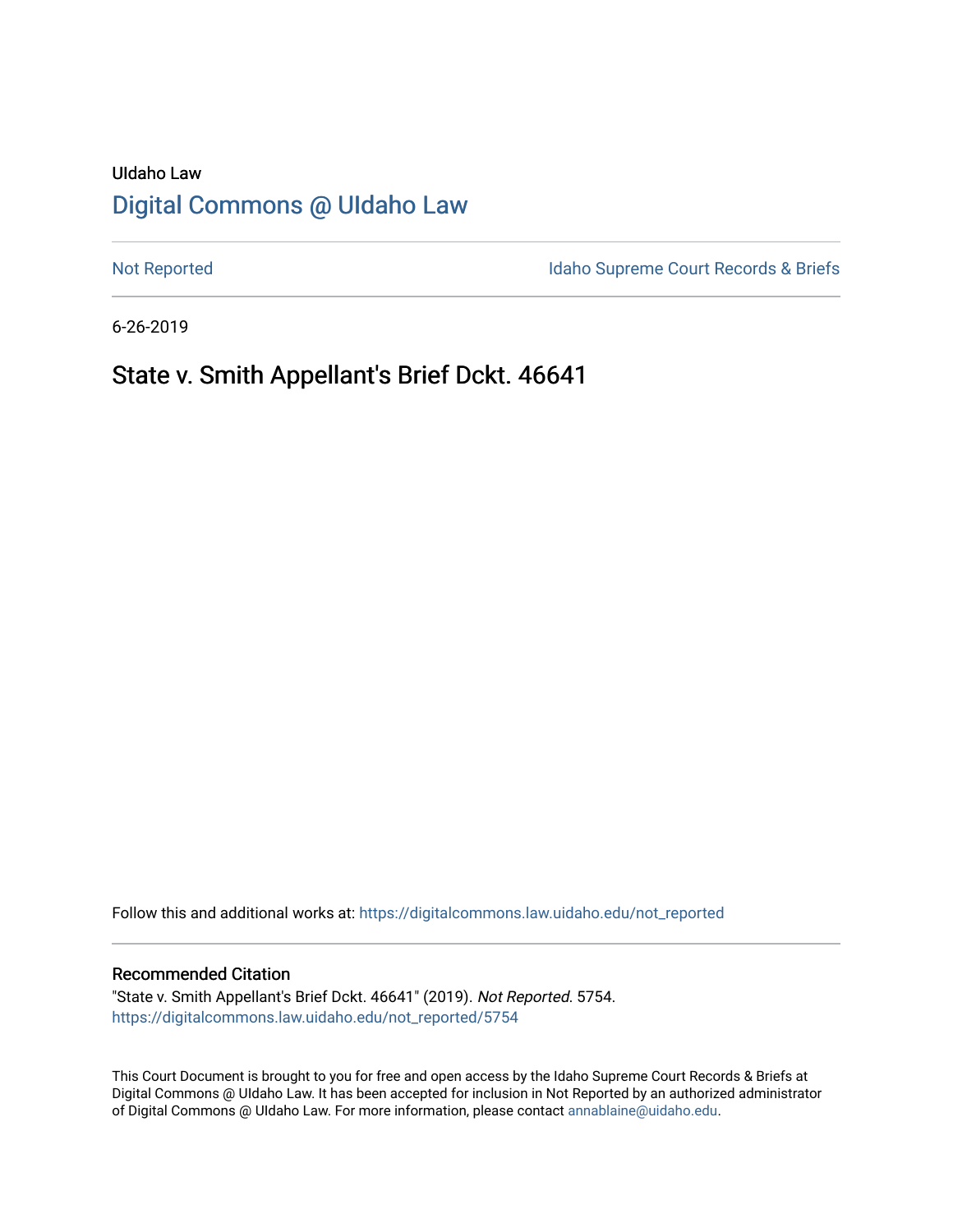# UIdaho Law [Digital Commons @ UIdaho Law](https://digitalcommons.law.uidaho.edu/)

[Not Reported](https://digitalcommons.law.uidaho.edu/not_reported) **Idaho Supreme Court Records & Briefs** 

6-26-2019

# State v. Smith Appellant's Brief Dckt. 46641

Follow this and additional works at: [https://digitalcommons.law.uidaho.edu/not\\_reported](https://digitalcommons.law.uidaho.edu/not_reported?utm_source=digitalcommons.law.uidaho.edu%2Fnot_reported%2F5754&utm_medium=PDF&utm_campaign=PDFCoverPages) 

### Recommended Citation

"State v. Smith Appellant's Brief Dckt. 46641" (2019). Not Reported. 5754. [https://digitalcommons.law.uidaho.edu/not\\_reported/5754](https://digitalcommons.law.uidaho.edu/not_reported/5754?utm_source=digitalcommons.law.uidaho.edu%2Fnot_reported%2F5754&utm_medium=PDF&utm_campaign=PDFCoverPages)

This Court Document is brought to you for free and open access by the Idaho Supreme Court Records & Briefs at Digital Commons @ UIdaho Law. It has been accepted for inclusion in Not Reported by an authorized administrator of Digital Commons @ UIdaho Law. For more information, please contact [annablaine@uidaho.edu](mailto:annablaine@uidaho.edu).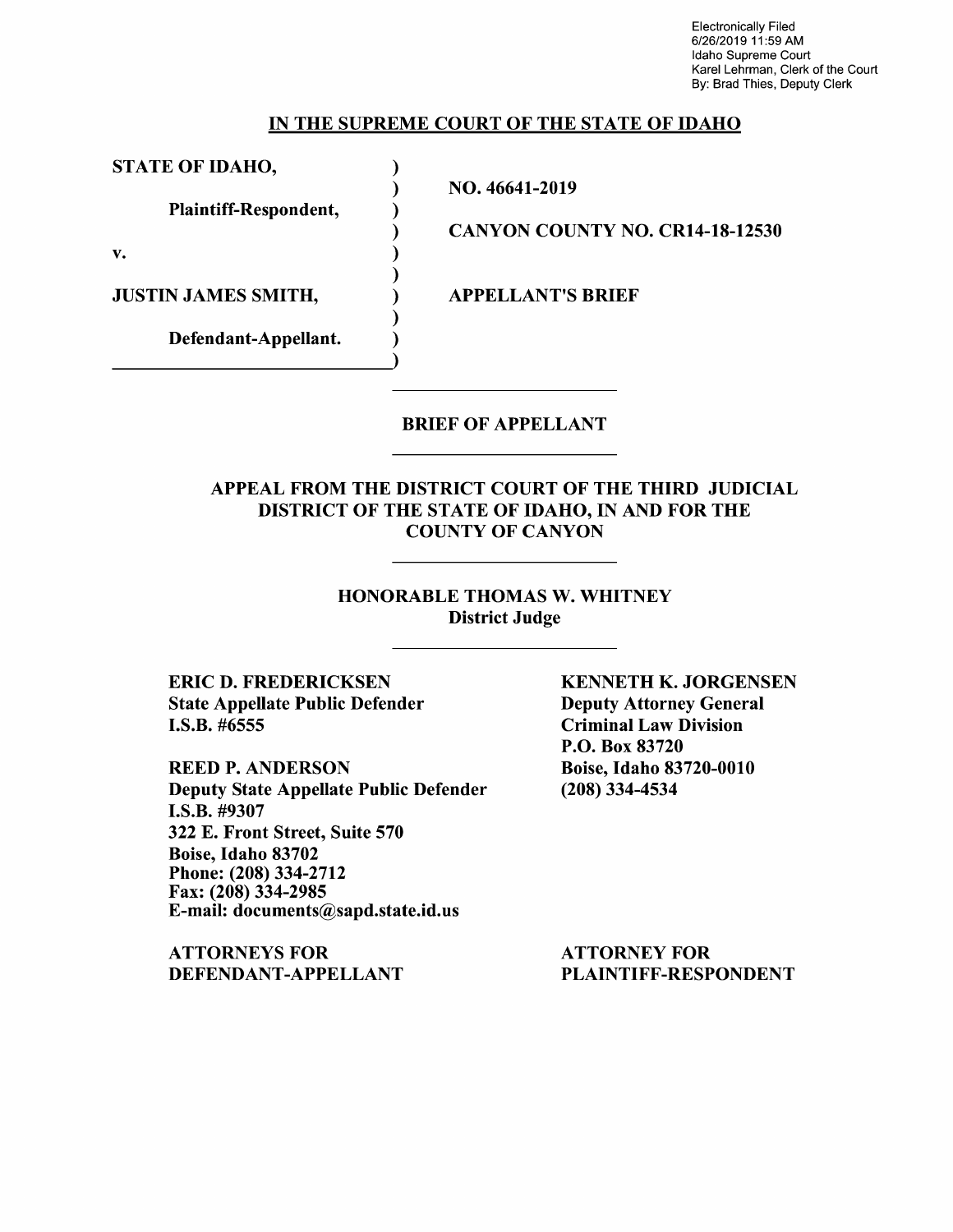Electronically Filed 6/26/2019 11 :59 AM Idaho Supreme Court Karel Lehrman, Clerk of the Court By: Brad Thies, Deputy Clerk

### IN THE SUPREME COURT OF THE STATE OF IDAHO

STATE OF IDAHO,

Plaintiff-Respondent,

Defendant-Appellant.

v.

JUSTIN JAMES SMITH,  $APPELLANT'S BRIEF$ 

NO. 46641-2019

) ) ) ) ) ) ) )

CANYON COUNTY NO. CR14-18-12530

### BRIEF OF APPELLANT

### APPEAL FROM THE DISTRICT COURT OF THE THIRD JUDICIAL DISTRICT OF THE STATE OF IDAHO, IN AND FOR THE COUNTY OF CANYON

### HONORABLE THOMAS W. WHITNEY District Judge

ERIC D. FREDERICKSEN State Appellate Public Defender I.S.B. #6555

REED P. ANDERSON Deputy State Appellate Public Defender I.S.B. #9307 322 E. Front Street, Suite 570 Boise, Idaho 83702 Phone: (208) 334-2712 Fax: (208) 334-2985 E-mail: documents@sapd.state.id.us

ATTORNEYS FOR DEFENDANT-APPELLANT KENNETH K. JORGENSEN Deputy Attorney General Criminal Law Division P.O. Box 83720 Boise, Idaho 83720-0010 (208) 334-4534

ATTORNEY FOR PLAINTIFF-RESPONDENT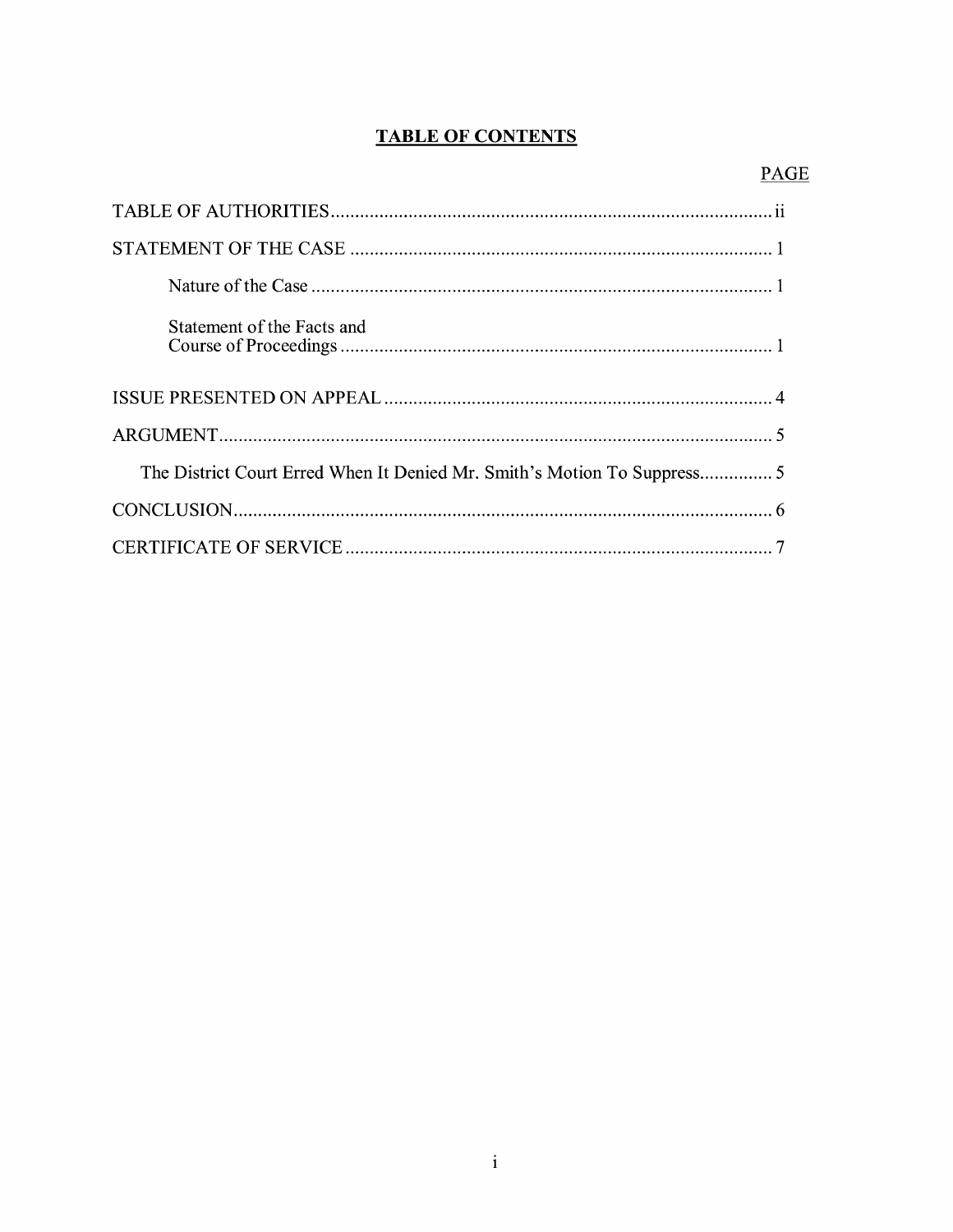## **TABLE OF CONTENTS**

| Statement of the Facts and                                               |
|--------------------------------------------------------------------------|
|                                                                          |
|                                                                          |
| The District Court Erred When It Denied Mr. Smith's Motion To Suppress 5 |
|                                                                          |
|                                                                          |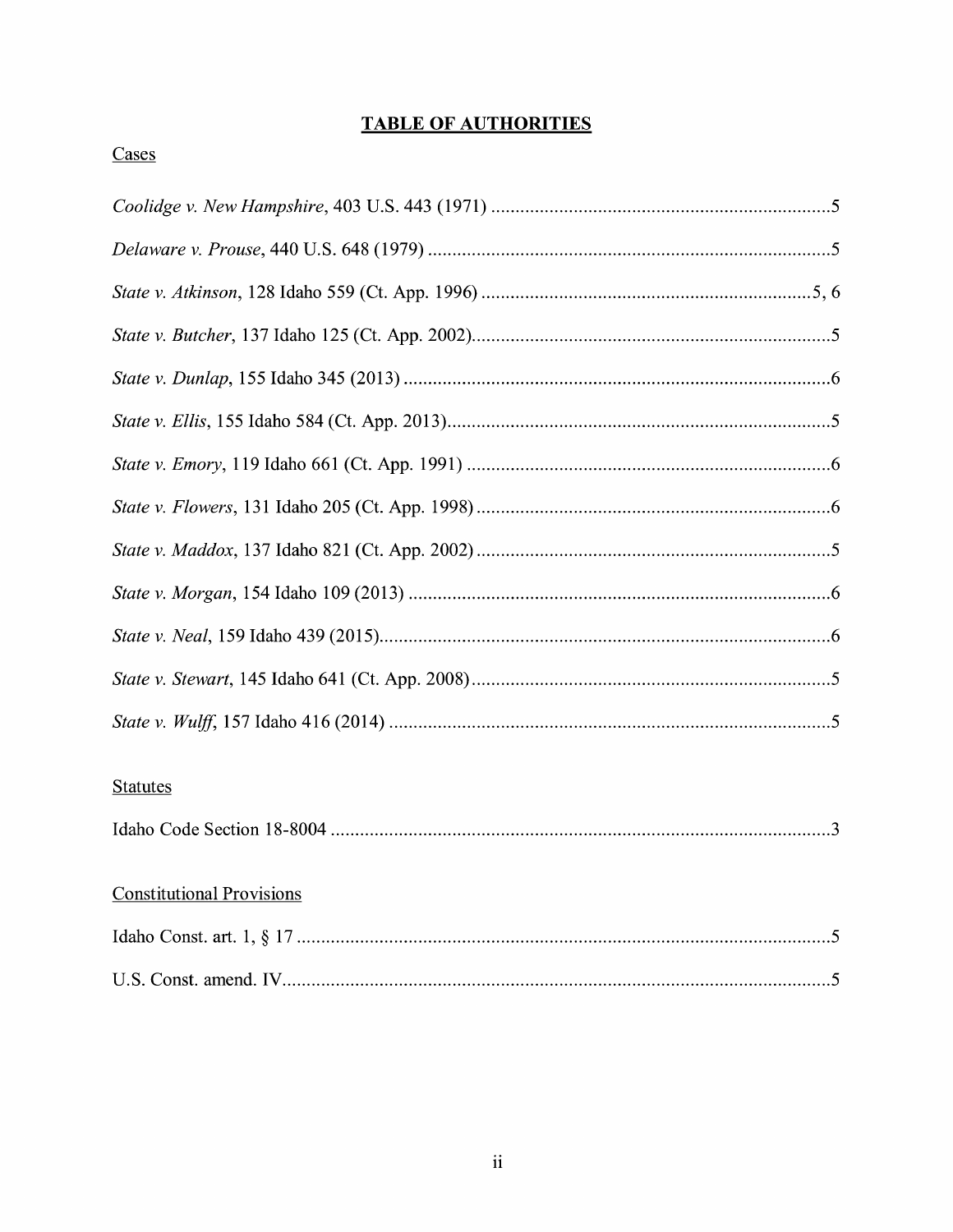## **TABLE OF AUTHORITIES**

## Cases

| <b>Statutes</b>                  |
|----------------------------------|
|                                  |
| <b>Constitutional Provisions</b> |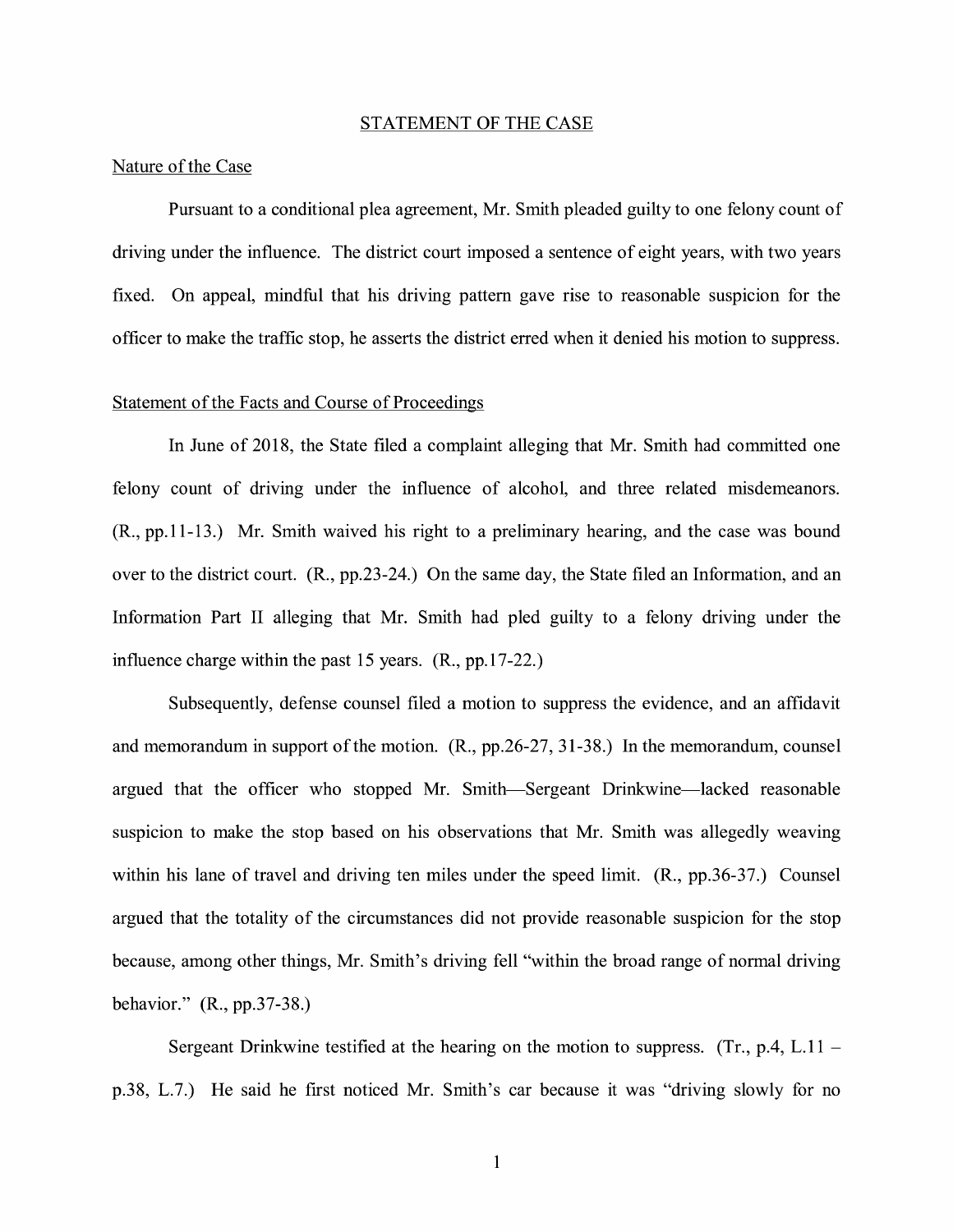#### STATEMENT OF THE CASE

### Nature of the Case

Pursuant to a conditional plea agreement, Mr. Smith pleaded guilty to one felony count of driving under the influence. The district court imposed a sentence of eight years, with two years fixed. On appeal, mindful that his driving pattern gave rise to reasonable suspicion for the officer to make the traffic stop, he asserts the district erred when it denied his motion to suppress.

### Statement of the Facts and Course of Proceedings

In June of 2018, the State filed a complaint alleging that Mr. Smith had committed one felony count of driving under the influence of alcohol, and three related misdemeanors. (R., pp.11-13.) Mr. Smith waived his right to a preliminary hearing, and the case was bound over to the district court. (R., pp.23-24.) On the same day, the State filed an Information, and an Information Part II alleging that Mr. Smith had pled guilty to a felony driving under the influence charge within the past 15 years. (R., pp.17-22.)

Subsequently, defense counsel filed a motion to suppress the evidence, and an affidavit and memorandum in support of the motion. (R., pp.26-27, 31-38.) In the memorandum, counsel argued that the officer who stopped Mr. Smith-Sergeant Drinkwine-lacked reasonable suspicion to make the stop based on his observations that Mr. Smith was allegedly weaving within his lane of travel and driving ten miles under the speed limit. (R., pp.36-37.) Counsel argued that the totality of the circumstances did not provide reasonable suspicion for the stop because, among other things, Mr. Smith's driving fell "within the broad range of normal driving behavior." (R., pp.37-38.)

Sergeant Drinkwine testified at the hearing on the motion to suppress. (Tr., p.4, L.11 – p.38, L.7.) He said he first noticed Mr. Smith's car because it was "driving slowly for no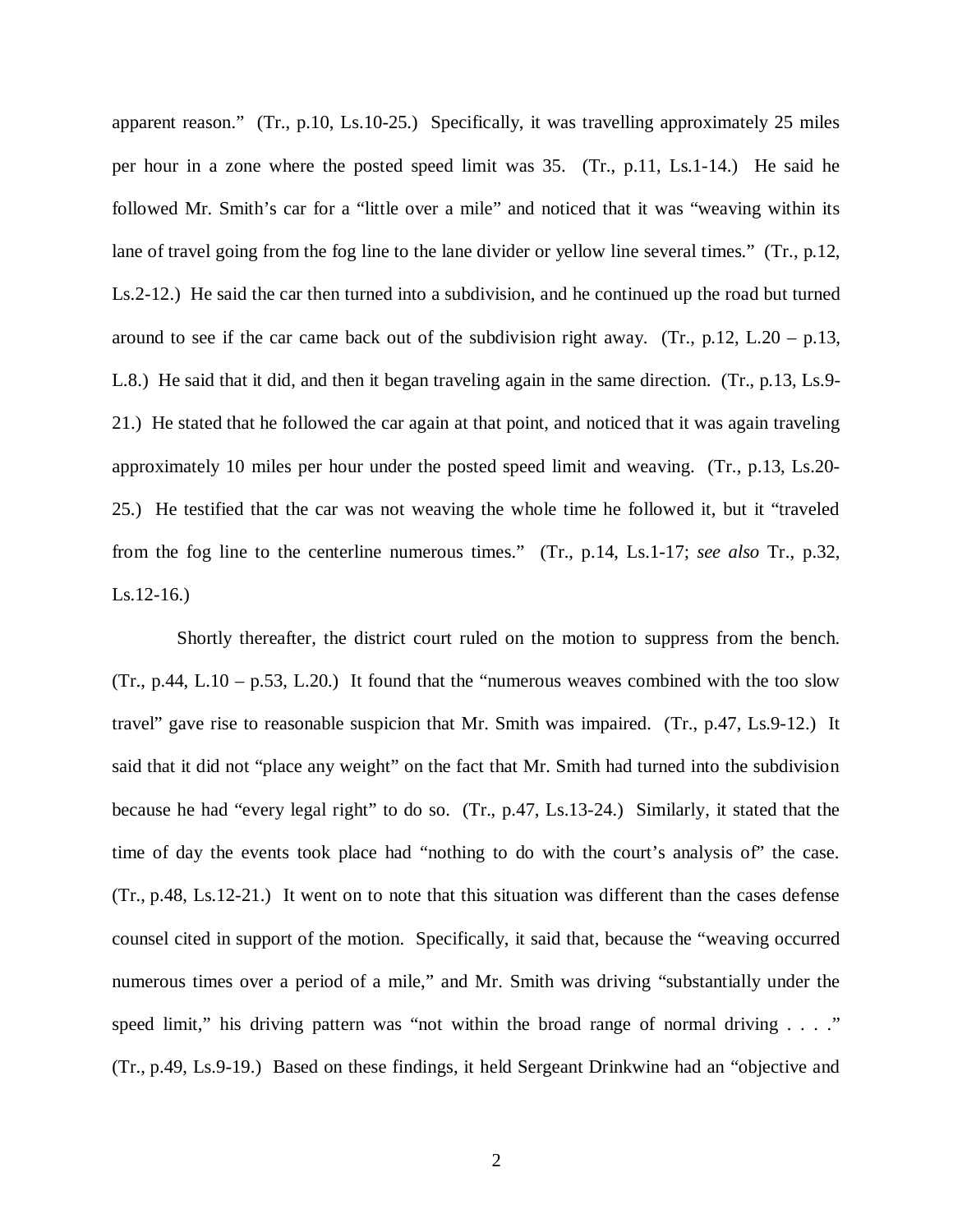apparent reason." (Tr., p.10, Ls.10-25.) Specifically, it was travelling approximately 25 miles per hour in a zone where the posted speed limit was 35. (Tr., p.11, Ls.1-14.) He said he followed Mr. Smith's car for a "little over a mile" and noticed that it was "weaving within its lane of travel going from the fog line to the lane divider or yellow line several times." (Tr., p.12, Ls.2-12.) He said the car then turned into a subdivision, and he continued up the road but turned around to see if the car came back out of the subdivision right away. (Tr.,  $p.12$ , L.20 –  $p.13$ , L.8.) He said that it did, and then it began traveling again in the same direction. (Tr., p.13, Ls.9- 21.) He stated that he followed the car again at that point, and noticed that it was again traveling approximately 10 miles per hour under the posted speed limit and weaving. (Tr., p.13, Ls.20- 25.) He testified that the car was not weaving the whole time he followed it, but it "traveled from the fog line to the centerline numerous times." (Tr., p.14, Ls.1-17; *see also* Tr., p.32, Ls.12-16.)

 Shortly thereafter, the district court ruled on the motion to suppress from the bench.  $(Tr., p.44, L.10 - p.53, L.20.)$  It found that the "numerous weaves combined with the too slow travel" gave rise to reasonable suspicion that Mr. Smith was impaired. (Tr., p.47, Ls.9-12.) It said that it did not "place any weight" on the fact that Mr. Smith had turned into the subdivision because he had "every legal right" to do so. (Tr., p.47, Ls.13-24.) Similarly, it stated that the time of day the events took place had "nothing to do with the court's analysis of" the case. (Tr., p.48, Ls.12-21.) It went on to note that this situation was different than the cases defense counsel cited in support of the motion. Specifically, it said that, because the "weaving occurred numerous times over a period of a mile," and Mr. Smith was driving "substantially under the speed limit," his driving pattern was "not within the broad range of normal driving  $\ldots$ ." (Tr., p.49, Ls.9-19.) Based on these findings, it held Sergeant Drinkwine had an "objective and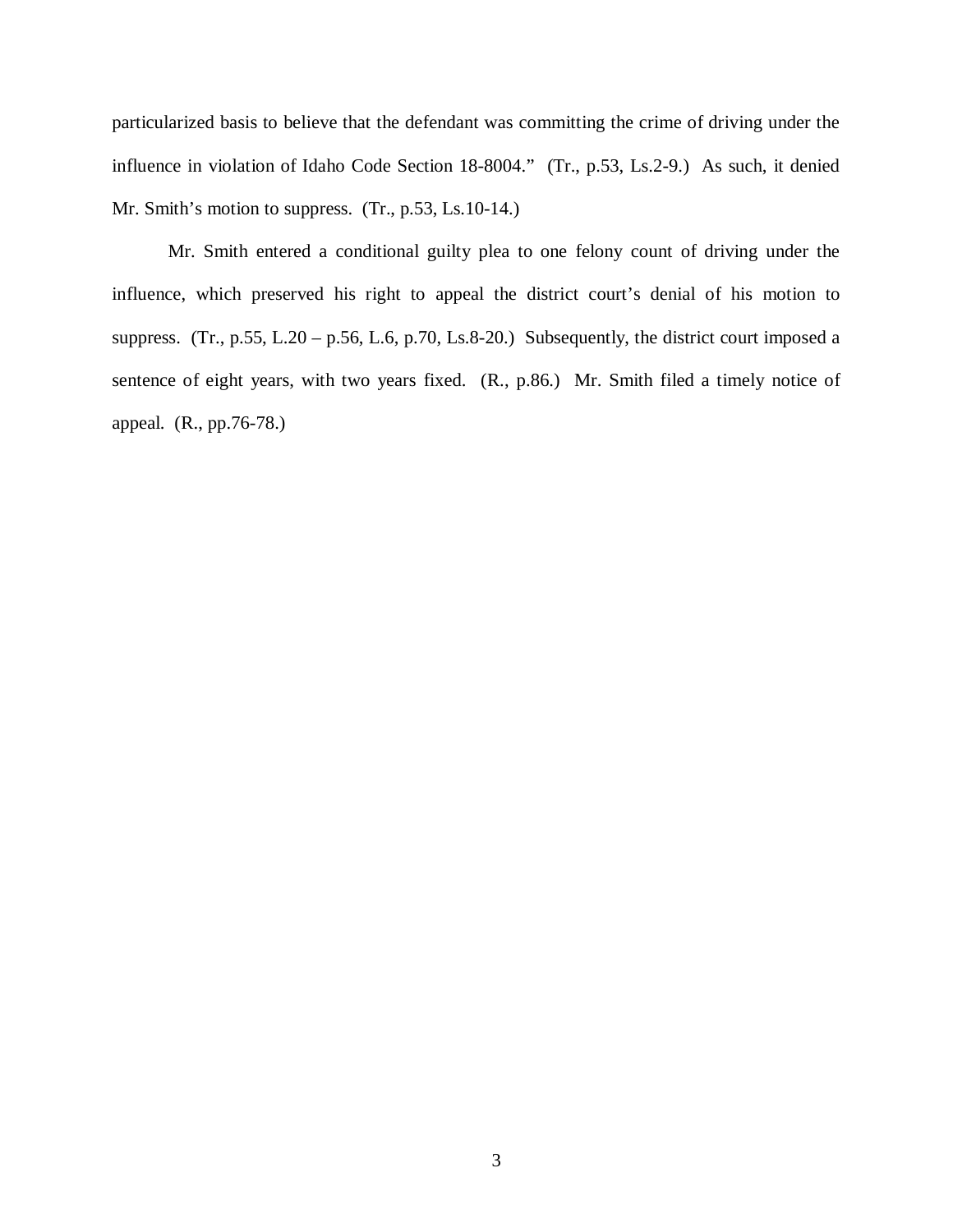particularized basis to believe that the defendant was committing the crime of driving under the influence in violation of Idaho Code Section 18-8004." (Tr., p.53, Ls.2-9.) As such, it denied Mr. Smith's motion to suppress. (Tr., p.53, Ls.10-14.)

Mr. Smith entered a conditional guilty plea to one felony count of driving under the influence, which preserved his right to appeal the district court's denial of his motion to suppress. (Tr., p.55, L.20 – p.56, L.6, p.70, Ls.8-20.) Subsequently, the district court imposed a sentence of eight years, with two years fixed. (R., p.86.) Mr. Smith filed a timely notice of appeal. (R., pp.76-78.)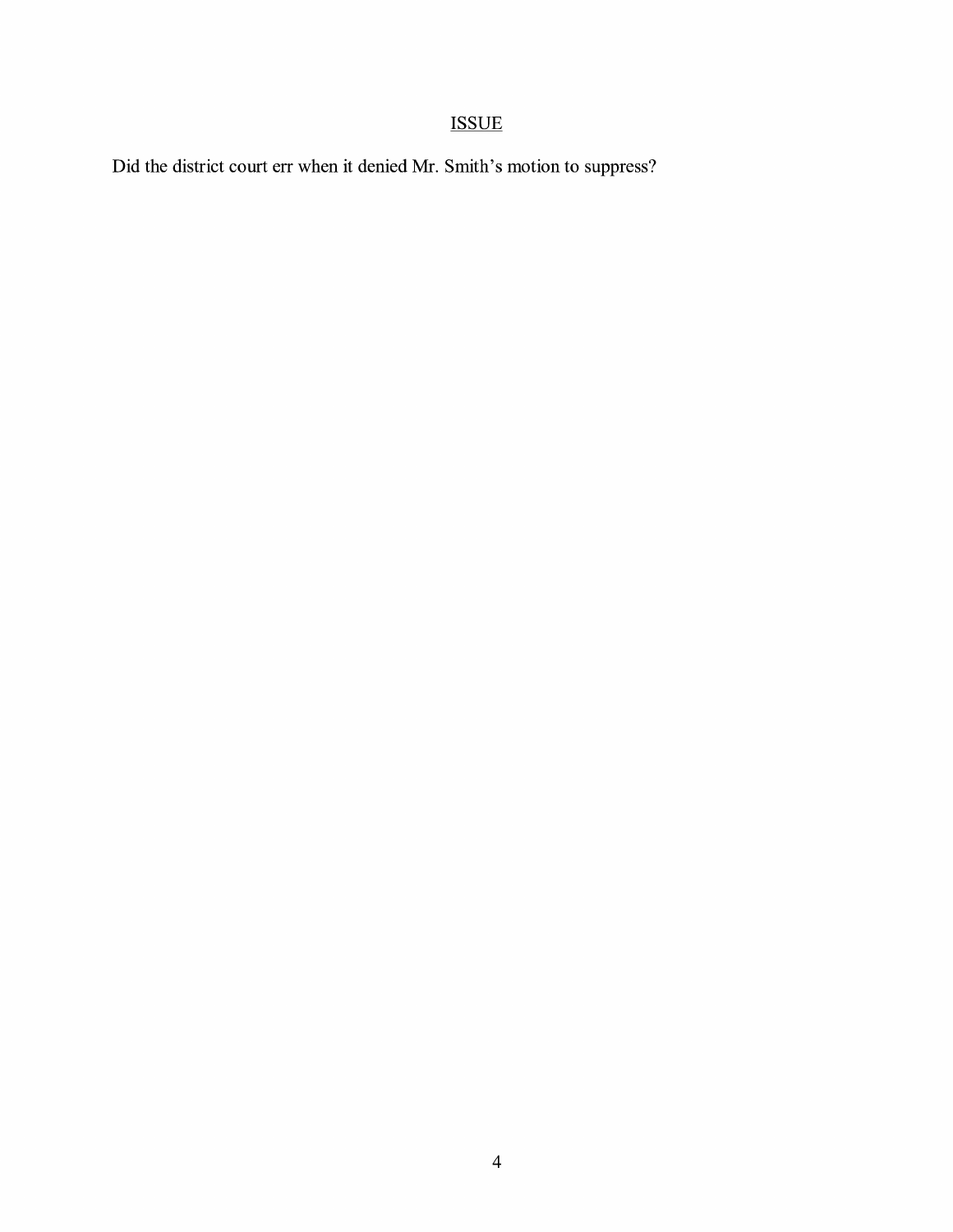# ISSUE

Did the district court err when it denied Mr. Smith's motion to suppress?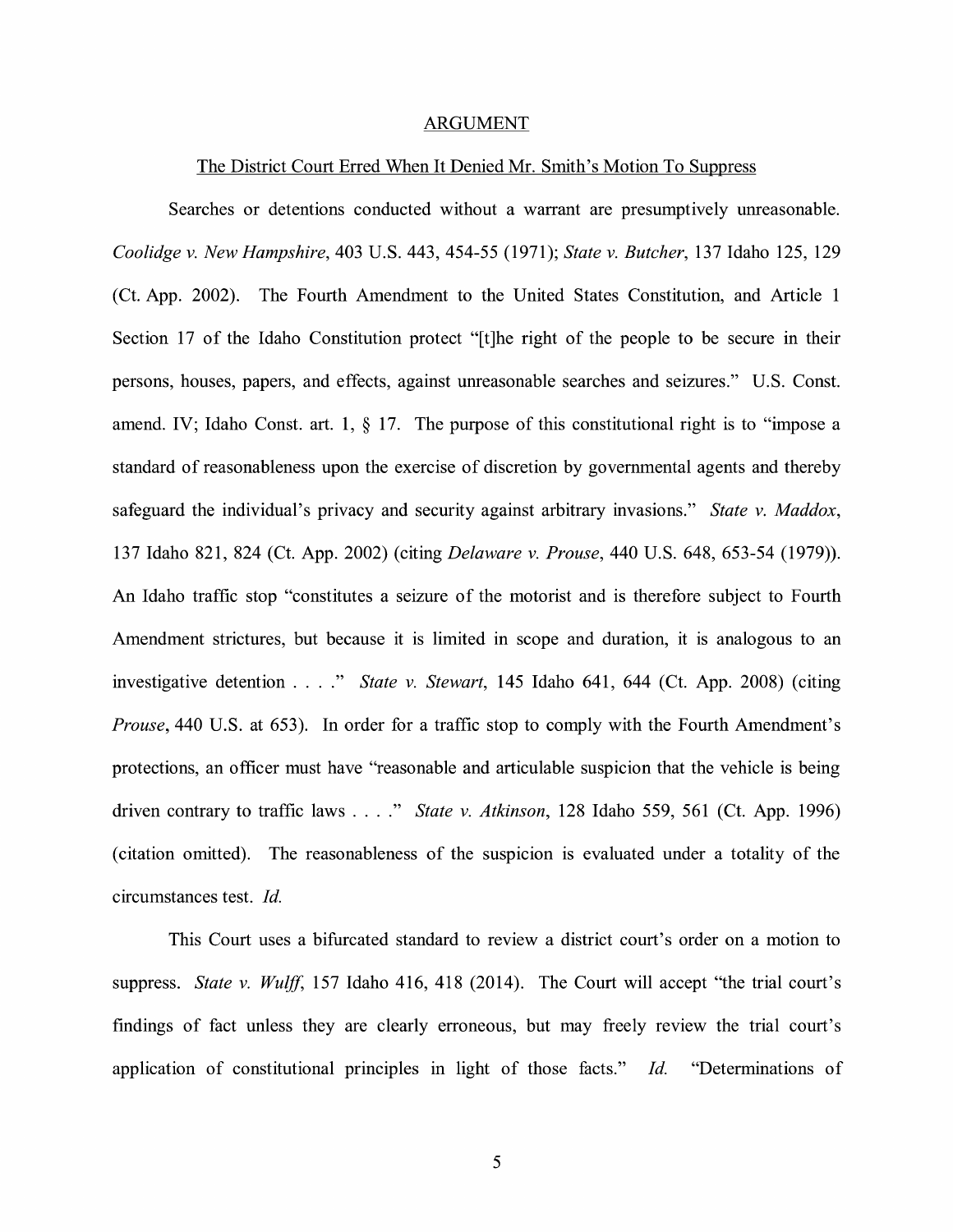#### ARGUMENT

#### The District Court Erred When It Denied Mr. Smith's Motion To Suppress

Searches or detentions conducted without a warrant are presumptively unreasonable. *Coolidge v. New Hampshire,* 403 U.S. 443, 454-55 (1971); *State v. Butcher,* 137 Idaho 125, 129 (Ct. App. 2002). The Fourth Amendment to the United States Constitution, and Article 1 Section 17 of the Idaho Constitution protect "[t]he right of the people to be secure in their persons, houses, papers, and effects, against unreasonable searches and seizures." U.S. Const. amend. IV; Idaho Const. art. 1,  $\S$  17. The purpose of this constitutional right is to "impose a standard of reasonableness upon the exercise of discretion by governmental agents and thereby safeguard the individual's privacy and security against arbitrary invasions." *State v. Maddox,*  137 Idaho 821, 824 (Ct. App. 2002) (citing *Delaware v. Prouse,* 440 U.S. 648, 653-54 (1979)). An Idaho traffic stop "constitutes a seizure of the motorist and is therefore subject to Fourth Amendment strictures, but because it is limited in scope and duration, it is analogous to an investigative detention .... " *State v. Stewart,* 145 Idaho 641, 644 (Ct. App. 2008) (citing *Prouse*, 440 U.S. at 653). In order for a traffic stop to comply with the Fourth Amendment's protections, an officer must have "reasonable and articulable suspicion that the vehicle is being driven contrary to traffic laws .... " *State v. Atkinson,* 128 Idaho 559, 561 (Ct. App. 1996) ( citation omitted). The reasonableness of the suspicion is evaluated under a totality of the circumstances test. *Id.* 

This Court uses a bifurcated standard to review a district court's order on a motion to suppress. *State v. Wulff,* 157 Idaho 416, 418 (2014). The Court will accept "the trial court's findings of fact unless they are clearly erroneous, but may freely review the trial court's application of constitutional principles in light of those facts." *Id.* "Determinations of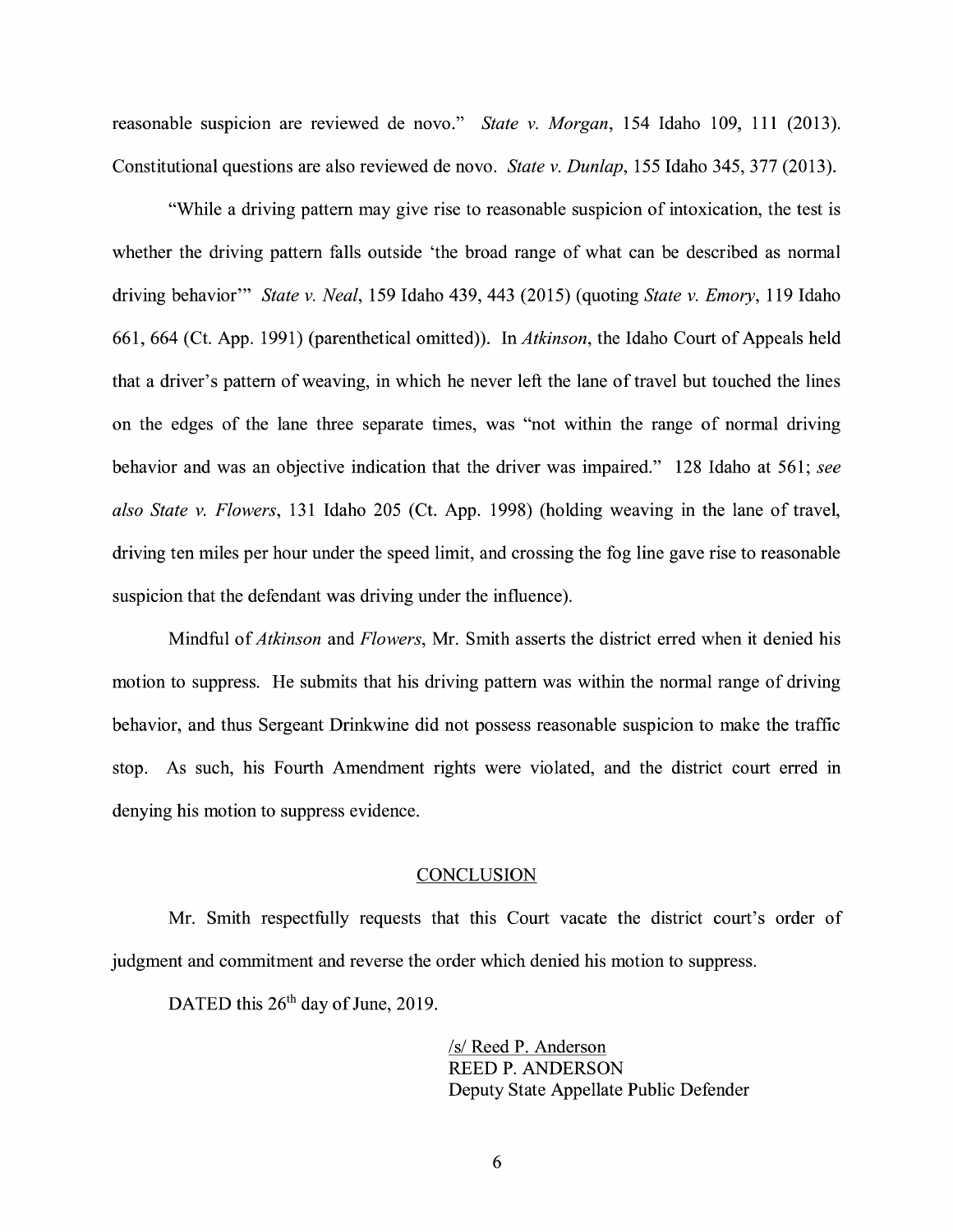reasonable suspicion are reviewed de novo." *State v. Morgan,* 154 Idaho 109, 111 (2013). Constitutional questions are also reviewed de novo. *State v. Dunlap,* 155 Idaho 345, 377 (2013).

"While a driving pattern may give rise to reasonable suspicion of intoxication, the test is whether the driving pattern falls outside 'the broad range of what can be described as normal driving behavior"' *State v. Neal,* 159 Idaho 439, 443 (2015) (quoting *State v. Emory,* 119 Idaho 661, 664 (Ct. App. 1991) (parenthetical omitted)). In *Atkinson,* the Idaho Court of Appeals held that a driver's pattern of weaving, in which he never left the lane of travel but touched the lines on the edges of the lane three separate times, was "not within the range of normal driving behavior and was an objective indication that the driver was impaired." 128 Idaho at 561; *see also State v. Flowers,* 131 Idaho 205 (Ct. App. 1998) (holding weaving in the lane of travel, driving ten miles per hour under the speed limit, and crossing the fog line gave rise to reasonable suspicion that the defendant was driving under the influence).

Mindful of *Atkinson* and *Flowers,* Mr. Smith asserts the district erred when it denied his motion to suppress. He submits that his driving pattern was within the normal range of driving behavior, and thus Sergeant Drinkwine did not possess reasonable suspicion to make the traffic stop. As such, his Fourth Amendment rights were violated, and the district court erred in denying his motion to suppress evidence.

#### **CONCLUSION**

Mr. Smith respectfully requests that this Court vacate the district court's order of judgment and commitment and reverse the order which denied his motion to suppress.

DATED this 26<sup>th</sup> day of June, 2019.

/s/ Reed P. Anderson REED P. ANDERSON Deputy State Appellate Public Defender